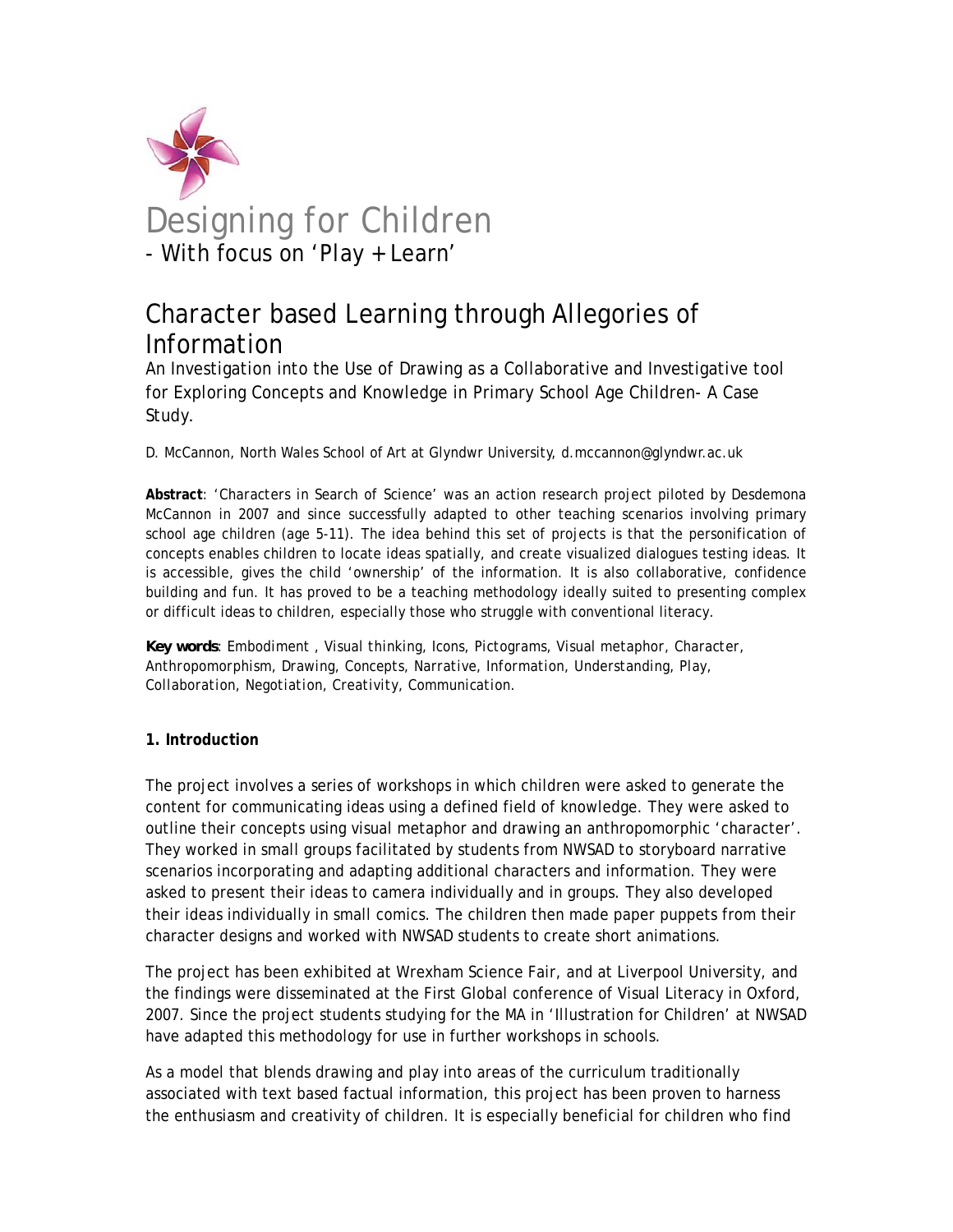

# Character based Learning through Allegories of Information

An Investigation into the Use of Drawing as a Collaborative and Investigative tool for Exploring Concepts and Knowledge in Primary School Age Children- A Case Study**.**

D. McCannon, North Wales School of Art at Glyndwr University, d.mccannon@glyndwr.ac.uk

**Abstract**: '*Characters in Search of Science'* was an action research project piloted by Desdemona McCannon in 2007 and since successfully adapted to other teaching scenarios involving primary school age children (age 5-11). The idea behind this set of projects is that the personification of concepts enables children to locate ideas spatially, and create visualized dialogues testing ideas. It is accessible, gives the child 'ownership' of the information. It is also collaborative, confidence building and fun. It has proved to be a teaching methodology ideally suited to presenting complex or difficult ideas to children, especially those who struggle with conventional literacy.

*Key words: Embodiment , Visual thinking, Icons, Pictograms, Visual metaphor, Character, Anthropomorphism, Drawing, Concepts, Narrative, Information, Understanding, Play, Collaboration, Negotiation, Creativity, Communication.* 

## **1. Introduction**

The project involves a series of workshops in which children were asked to generate the content for communicating ideas using a defined field of knowledge. They were asked to outline their concepts using visual metaphor and drawing an anthropomorphic 'character'. They worked in small groups facilitated by students from NWSAD to storyboard narrative scenarios incorporating and adapting additional characters and information. They were asked to present their ideas to camera individually and in groups. They also developed their ideas individually in small comics. The children then made paper puppets from their character designs and worked with NWSAD students to create short animations.

The project has been exhibited at Wrexham Science Fair, and at Liverpool University, and the findings were disseminated at the First Global conference of Visual Literacy in Oxford, 2007. Since the project students studying for the MA in 'Illustration for Children' at NWSAD have adapted this methodology for use in further workshops in schools.

As a model that blends drawing and play into areas of the curriculum traditionally associated with text based factual information, this project has been proven to harness the enthusiasm and creativity of children. It is especially beneficial for children who find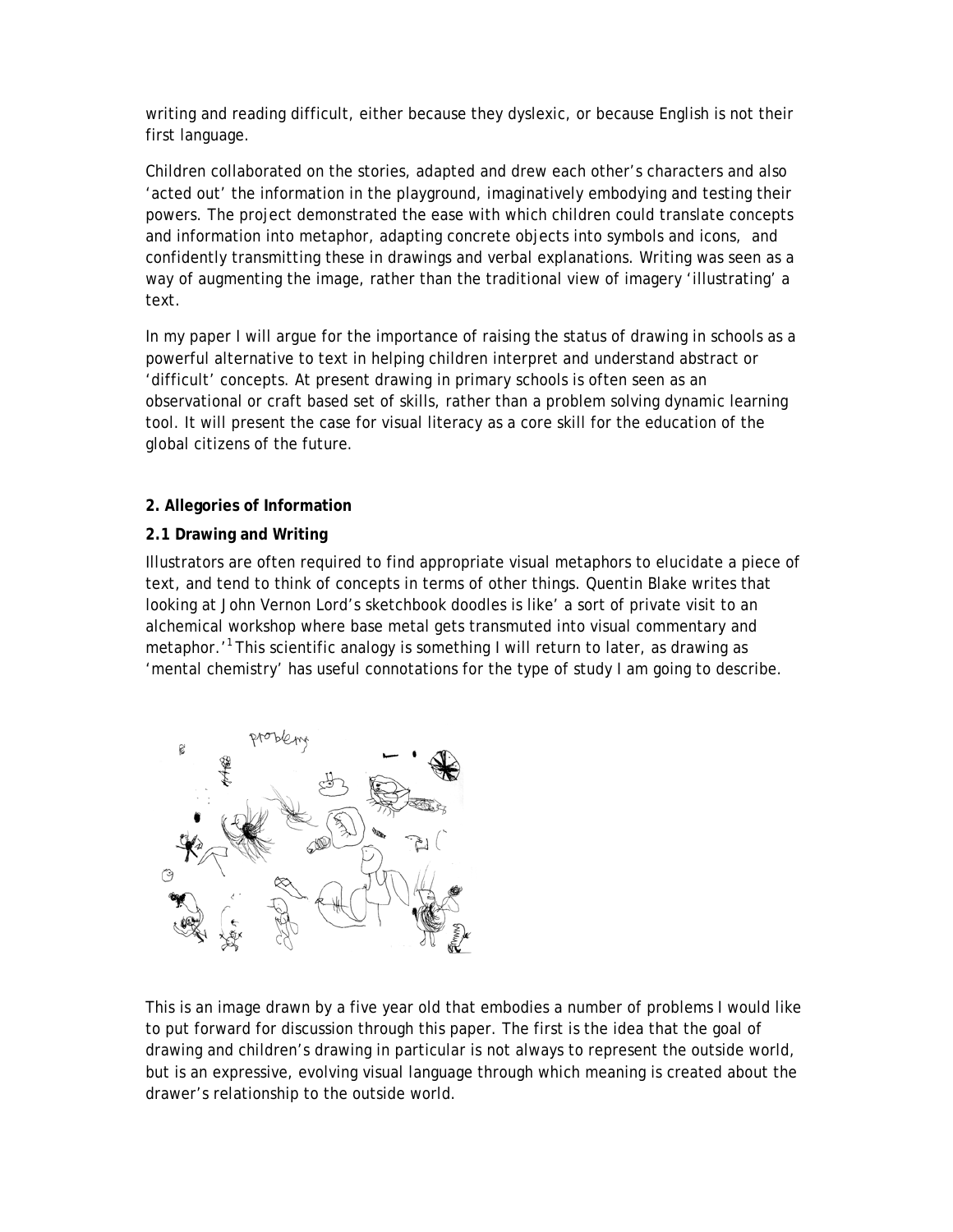writing and reading difficult, either because they dyslexic, or because English is not their first language.

Children collaborated on the stories, adapted and drew each other's characters and also 'acted out' the information in the playground, imaginatively embodying and testing their powers. The project demonstrated the ease with which children could translate concepts and information into metaphor, adapting concrete objects into symbols and icons, and confidently transmitting these in drawings and verbal explanations. Writing was seen as a way of augmenting the image, rather than the traditional view of imagery 'illustrating' a text.

In my paper I will argue for the importance of raising the status of drawing in schools as a powerful alternative to text in helping children interpret and understand abstract or 'difficult' concepts. At present drawing in primary schools is often seen as an observational or craft based set of skills, rather than a problem solving dynamic learning tool. It will present the case for visual literacy as a core skill for the education of the global citizens of the future.

# **2. Allegories of Information**

# **2.1 Drawing and Writing**

Illustrators are often required to find appropriate visual metaphors to elucidate a piece of text, and tend to think of concepts in terms of other things. Quentin Blake writes that looking at John Vernon Lord's sketchbook doodles is like' a sort of private visit to an alchemical workshop where base metal gets transmuted into visual commentary and metaphor.<sup>'1</sup> This scientific analogy is something I will return to later, as drawing as 'mental chemistry' has useful connotations for the type of study I am going to describe.



This is an image drawn by a five year old that embodies a number of problems I would like to put forward for discussion through this paper. The first is the idea that the goal of drawing and children's drawing in particular is not always to represent the outside world, but is an expressive, evolving visual language through which meaning is created about the drawer's relationship to the outside world.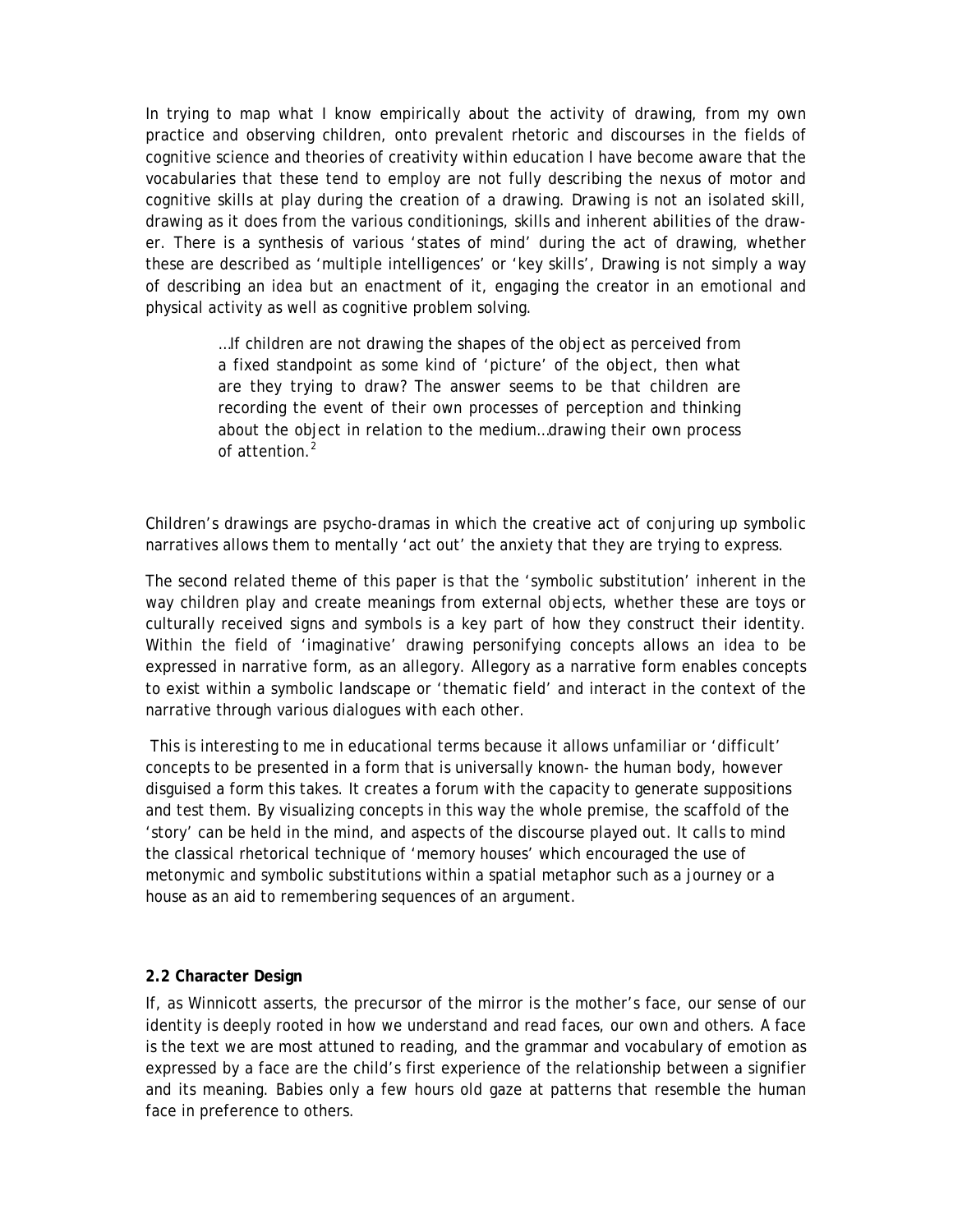In trying to map what I know empirically about the activity of drawing, from my own practice and observing children, onto prevalent rhetoric and discourses in the fields of cognitive science and theories of creativity within education I have become aware that the vocabularies that these tend to employ are not fully describing the nexus of motor and cognitive skills at play during the creation of a drawing. Drawing is not an isolated skill, drawing as it does from the various conditionings, skills and inherent abilities of the drawer. There is a synthesis of various 'states of mind' during the act of drawing, whether these are described as 'multiple intelligences' or 'key skills', Drawing is not simply a way of describing an idea but an enactment of it, engaging the creator in an emotional and physical activity as well as cognitive problem solving.

> …If children are not drawing the shapes of the object as perceived from a fixed standpoint as some kind of 'picture' of the object, then what are they trying to draw? The answer seems to be that children are recording the event of their own processes of perception and thinking about the object in relation to the medium…drawing their own process of attention.*<sup>2</sup>*

Children's drawings are psycho-dramas in which the creative act of conjuring up symbolic narratives allows them to mentally 'act out' the anxiety that they are trying to express.

The second related theme of this paper is that the 'symbolic substitution' inherent in the way children play and create meanings from external objects, whether these are toys or culturally received signs and symbols is a key part of how they construct their identity. Within the field of 'imaginative' drawing personifying concepts allows an idea to be expressed in narrative form, as an allegory. Allegory as a narrative form enables concepts to exist within a symbolic landscape or 'thematic field' and interact in the context of the narrative through various dialogues with each other.

 This is interesting to me in educational terms because it allows unfamiliar or 'difficult' concepts to be presented in a form that is universally known- the human body, however disguised a form this takes. It creates a forum with the capacity to generate suppositions and test them. By visualizing concepts in this way the whole premise, the scaffold of the 'story' can be held in the mind, and aspects of the discourse played out. It calls to mind the classical rhetorical technique of 'memory houses' which encouraged the use of metonymic and symbolic substitutions within a spatial metaphor such as a journey or a house as an aid to remembering sequences of an argument.

## **2.2 Character Design**

If, as Winnicott asserts, the precursor of the mirror is the mother's face, our sense of our identity is deeply rooted in how we understand and read faces, our own and others. A face is the text we are most attuned to reading, and the grammar and vocabulary of emotion as expressed by a face are the child's first experience of the relationship between a signifier and its meaning. Babies only a few hours old gaze at patterns that resemble the human face in preference to others.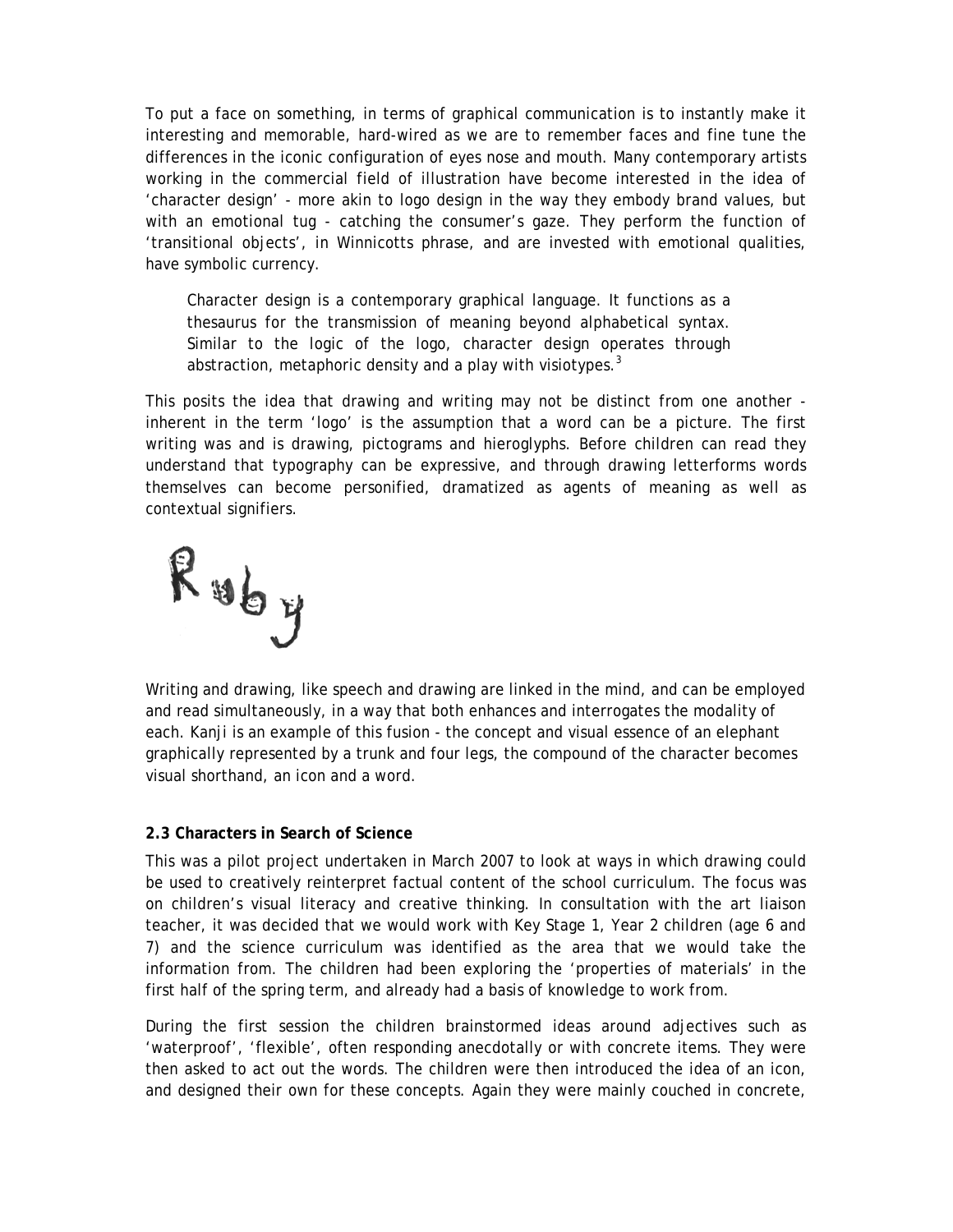To put a face on something, in terms of graphical communication is to instantly make it interesting and memorable, hard-wired as we are to remember faces and fine tune the differences in the iconic configuration of eyes nose and mouth. Many contemporary artists working in the commercial field of illustration have become interested in the idea of 'character design' - more akin to logo design in the way they embody brand values, but with an emotional tug - catching the consumer's gaze. They perform the function of 'transitional objects', in Winnicotts phrase, and are invested with emotional qualities, have symbolic currency.

Character design is a contemporary graphical language. It functions as a thesaurus for the transmission of meaning beyond alphabetical syntax. Similar to the logic of the logo, character design operates through abstraction, metaphoric density and a play with visiotypes. $3$ 

This posits the idea that drawing and writing may not be distinct from one another inherent in the term 'logo' is the assumption that a word can be a picture. The first writing was and is drawing, pictograms and hieroglyphs. Before children can read they understand that typography can be expressive, and through drawing letterforms words themselves can become personified, dramatized as agents of meaning as well as contextual signifiers.

 $R$  uby

Writing and drawing, like speech and drawing are linked in the mind, and can be employed and read simultaneously, in a way that both enhances and interrogates the modality of each. Kanji is an example of this fusion - the concept and visual essence of an elephant graphically represented by a trunk and four legs, the compound of the character becomes visual shorthand, an icon and a word.

#### **2.3 Characters in Search of Science**

This was a pilot project undertaken in March 2007 to look at ways in which drawing could be used to creatively reinterpret factual content of the school curriculum. The focus was on children's visual literacy and creative thinking. In consultation with the art liaison teacher, it was decided that we would work with Key Stage 1, Year 2 children (age 6 and 7) and the science curriculum was identified as the area that we would take the information from. The children had been exploring the 'properties of materials' in the first half of the spring term, and already had a basis of knowledge to work from.

During the first session the children brainstormed ideas around adjectives such as 'waterproof', 'flexible', often responding anecdotally or with concrete items. They were then asked to act out the words. The children were then introduced the idea of an icon, and designed their own for these concepts. Again they were mainly couched in concrete,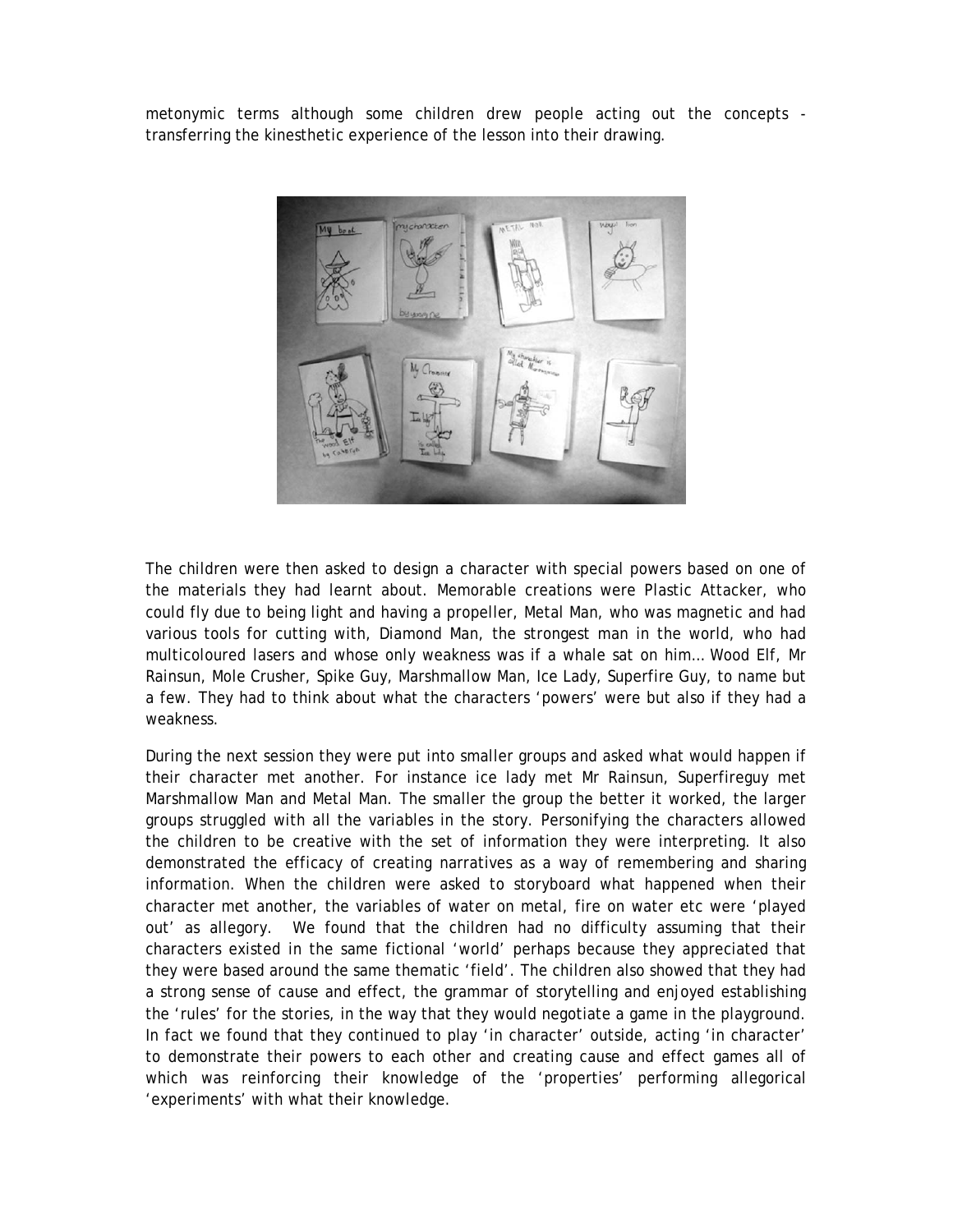metonymic terms although some children drew people acting out the concepts transferring the kinesthetic experience of the lesson into their drawing.



The children were then asked to design a character with special powers based on one of the materials they had learnt about. Memorable creations were Plastic Attacker, who could fly due to being light and having a propeller, Metal Man, who was magnetic and had various tools for cutting with, Diamond Man, the strongest man in the world, who had multicoloured lasers and whose only weakness was if a whale sat on him… Wood Elf, Mr Rainsun, Mole Crusher, Spike Guy, Marshmallow Man, Ice Lady, Superfire Guy, to name but a few. They had to think about what the characters 'powers' were but also if they had a weakness.

During the next session they were put into smaller groups and asked what would happen if their character met another. For instance ice lady met Mr Rainsun, Superfireguy met Marshmallow Man and Metal Man. The smaller the group the better it worked, the larger groups struggled with all the variables in the story. Personifying the characters allowed the children to be creative with the set of information they were interpreting. It also demonstrated the efficacy of creating narratives as a way of remembering and sharing information. When the children were asked to storyboard what happened when their character met another, the variables of water on metal, fire on water etc were 'played out' as allegory. We found that the children had no difficulty assuming that their characters existed in the same fictional 'world' perhaps because they appreciated that they were based around the same thematic 'field'. The children also showed that they had a strong sense of cause and effect, the grammar of storytelling and enjoyed establishing the 'rules' for the stories, in the way that they would negotiate a game in the playground. In fact we found that they continued to play 'in character' outside, acting 'in character' to demonstrate their powers to each other and creating cause and effect games all of which was reinforcing their knowledge of the 'properties' performing allegorical 'experiments' with what their knowledge.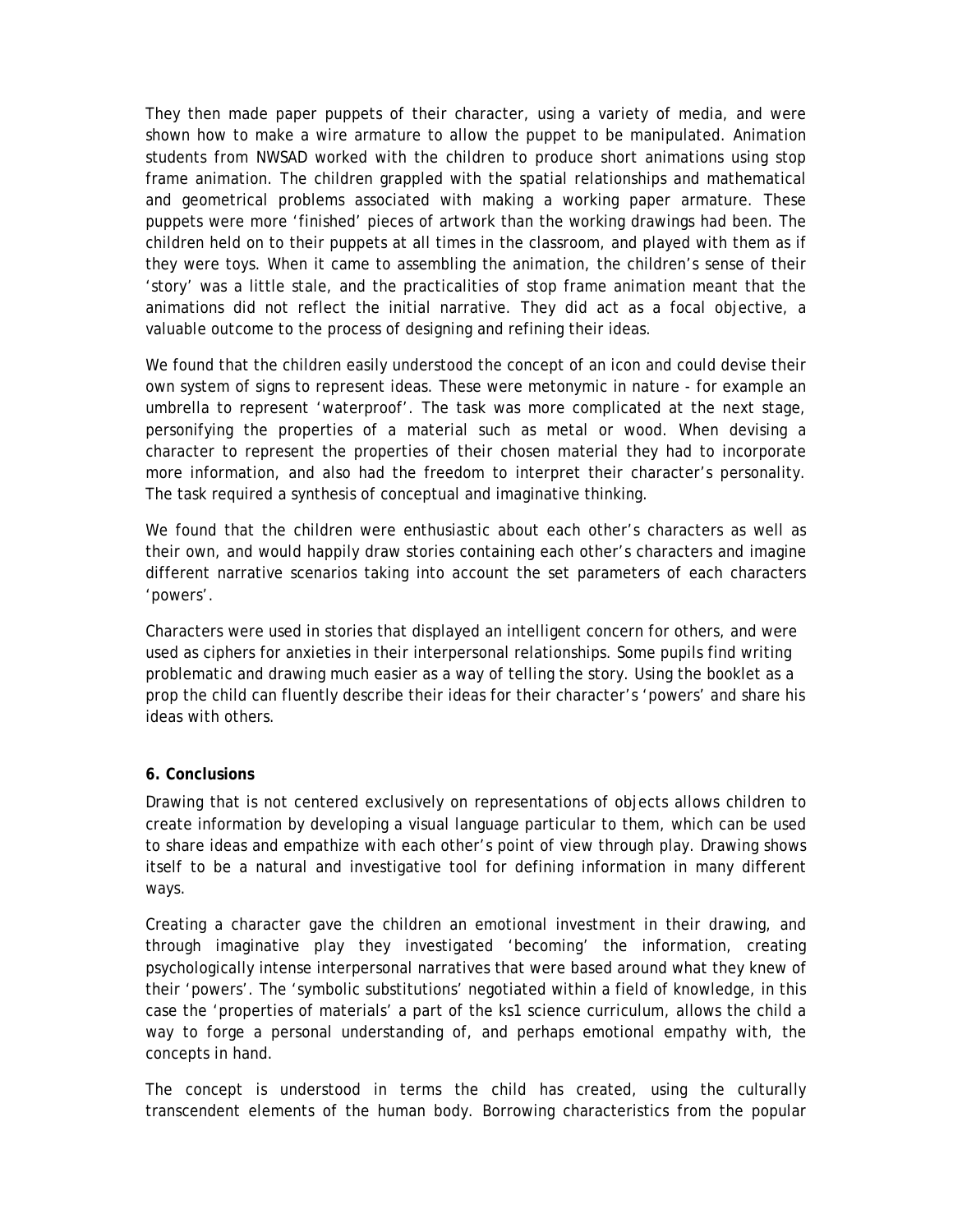They then made paper puppets of their character, using a variety of media, and were shown how to make a wire armature to allow the puppet to be manipulated. Animation students from NWSAD worked with the children to produce short animations using stop frame animation. The children grappled with the spatial relationships and mathematical and geometrical problems associated with making a working paper armature. These puppets were more 'finished' pieces of artwork than the working drawings had been. The children held on to their puppets at all times in the classroom, and played with them as if they were toys. When it came to assembling the animation, the children's sense of their 'story' was a little stale, and the practicalities of stop frame animation meant that the animations did not reflect the initial narrative. They did act as a focal objective, a valuable outcome to the process of designing and refining their ideas.

We found that the children easily understood the concept of an icon and could devise their own system of signs to represent ideas. These were metonymic in nature - for example an umbrella to represent 'waterproof'. The task was more complicated at the next stage, personifying the properties of a material such as metal or wood. When devising a character to represent the properties of their chosen material they had to incorporate more information, and also had the freedom to interpret their character's personality. The task required a synthesis of conceptual and imaginative thinking.

We found that the children were enthusiastic about each other's characters as well as their own, and would happily draw stories containing each other's characters and imagine different narrative scenarios taking into account the set parameters of each characters 'powers'.

Characters were used in stories that displayed an intelligent concern for others, and were used as ciphers for anxieties in their interpersonal relationships. Some pupils find writing problematic and drawing much easier as a way of telling the story. Using the booklet as a prop the child can fluently describe their ideas for their character's 'powers' and share his ideas with others.

#### **6. Conclusions**

Drawing that is not centered exclusively on representations of objects allows children to create information by developing a visual language particular to them, which can be used to share ideas and empathize with each other's point of view through play. Drawing shows itself to be a natural and investigative tool for defining information in many different ways.

Creating a character gave the children an emotional investment in their drawing, and through imaginative play they investigated 'becoming' the information, creating psychologically intense interpersonal narratives that were based around what they knew of their 'powers'. The 'symbolic substitutions' negotiated within a field of knowledge, in this case the 'properties of materials' a part of the ks1 science curriculum, allows the child a way to forge a personal understanding of, and perhaps emotional empathy with, the concepts in hand.

The concept is understood in terms the child has created, using the culturally transcendent elements of the human body. Borrowing characteristics from the popular